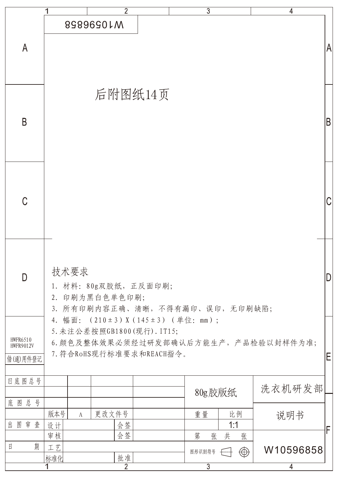|                                     | 2                                                                    | 3                     | 4         |
|-------------------------------------|----------------------------------------------------------------------|-----------------------|-----------|
|                                     | 8989690LM                                                            |                       |           |
| $\mathsf{A}$                        |                                                                      |                       | A         |
|                                     |                                                                      |                       |           |
|                                     | 后附图纸14页                                                              |                       |           |
|                                     |                                                                      |                       |           |
| B                                   |                                                                      |                       | B         |
|                                     |                                                                      |                       |           |
|                                     |                                                                      |                       |           |
|                                     |                                                                      |                       |           |
| C                                   |                                                                      |                       |           |
|                                     |                                                                      |                       |           |
|                                     |                                                                      |                       |           |
| D                                   | 技术要求                                                                 |                       |           |
|                                     | 1. 材料: 80g双胶纸, 正反面印刷;<br>2. 印刷为黑白色单色印刷;                              |                       |           |
|                                     | 3. 所有印刷内容正确、清晰,不得有漏印、误印,无印刷缺陷;<br>4. 幅面: (210±3) X (145±3) (单位: mm); |                       |           |
| <b>HWFR6510</b><br><b>HWFR9012V</b> | 5. 未注公差按照GB1800(现行). IT15;<br>6. 颜色及整体效果必须经过研发部确认后方能生产, 产品检验以封样件为准;  |                       |           |
| 借(通)用件登记                            | 7. 符合RoHS现行标准要求和REACH指令。                                             |                       | Ε         |
| 旧底图总号                               |                                                                      |                       |           |
| 底图总号                                |                                                                      | 80g胶版纸                | 洗衣机研发部    |
| 图审查<br>出                            | 版本号<br>更改文件号<br>A<br>设计<br>会签                                        | 重量<br>比例<br>1:1       | 说明书       |
|                                     | 会签<br>审核                                                             | 第<br>共<br>张<br>张      | F         |
| 期<br>日                              | 工艺<br>批准<br>标准化                                                      | $\bigoplus$<br>图形识别符号 | W10596858 |
|                                     | $\overline{2}$                                                       | $\overline{3}$        | 4         |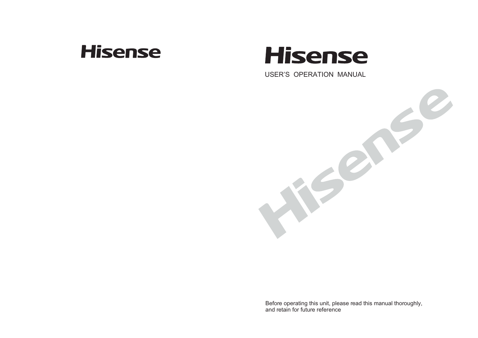## **Hisense**

# **Hisense**

USER'S OPERATION MANUAL



Before operating this unit, please read this manual thoroughly, and retain for future reference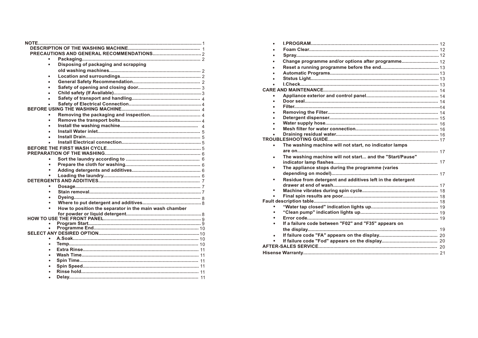| $\bullet$ | Disposing of packaging and scrapping                   |
|-----------|--------------------------------------------------------|
|           |                                                        |
|           |                                                        |
|           |                                                        |
|           |                                                        |
|           |                                                        |
|           |                                                        |
|           |                                                        |
|           |                                                        |
|           |                                                        |
|           |                                                        |
|           |                                                        |
|           |                                                        |
|           |                                                        |
|           |                                                        |
|           |                                                        |
|           |                                                        |
|           |                                                        |
|           |                                                        |
|           |                                                        |
|           |                                                        |
|           |                                                        |
|           |                                                        |
|           |                                                        |
|           |                                                        |
|           |                                                        |
|           |                                                        |
|           | How to position the separator in the main wash chamber |
|           |                                                        |
|           |                                                        |
|           |                                                        |
|           |                                                        |
|           |                                                        |
|           |                                                        |
|           |                                                        |
|           |                                                        |
|           |                                                        |
|           |                                                        |
|           |                                                        |
|           |                                                        |
|           |                                                        |
|           |                                                        |

|           | Change programme and/or options after programme 12         |  |
|-----------|------------------------------------------------------------|--|
|           |                                                            |  |
| ٠         |                                                            |  |
|           |                                                            |  |
|           |                                                            |  |
|           |                                                            |  |
|           |                                                            |  |
| ٠         |                                                            |  |
|           |                                                            |  |
|           |                                                            |  |
|           |                                                            |  |
|           |                                                            |  |
|           |                                                            |  |
| $\bullet$ |                                                            |  |
|           |                                                            |  |
| ٠         | The washing machine will not start, no indicator lamps     |  |
|           |                                                            |  |
| ٠         | The washing machine will not start and the "Start/Pause"   |  |
| ٠         | The appliance stops during the programme (varies           |  |
|           |                                                            |  |
| $\bullet$ | Residue from detergent and additives left in the detergent |  |
|           |                                                            |  |
|           |                                                            |  |
|           |                                                            |  |
|           |                                                            |  |
|           |                                                            |  |
|           |                                                            |  |
| ۰         |                                                            |  |
| ٠         |                                                            |  |
|           | If a failure code between "F02" and "F35" appears on       |  |
|           |                                                            |  |
| $\bullet$ |                                                            |  |
|           |                                                            |  |
|           |                                                            |  |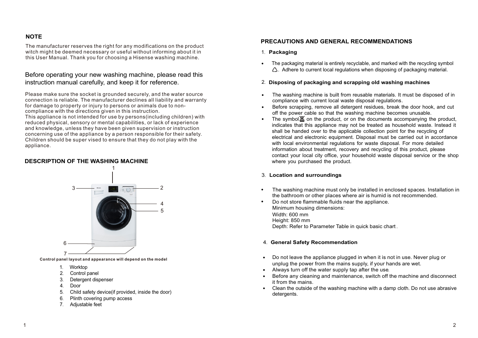### **NOTE**

The manufacturer reserves the right for any modifications on the product witch might be deemed necessary or useful without informing about it in this User Manual. Thank you for choosing a Hisense washing machine.

### Before operating your new washing machine, please read this instruction manual carefully, and keep it for reference.

Please make sure the socket is grounded securely, and the water source connection is reliable. The manufacturer declines all liability and warranty for damage to property or injury to persons or animals due to noncompliance with the directions given in this instruction.

This appliance is not intended for use by persons(including children) with reduced physical, sensory or mental capabilities, or lack of experience and knowledge, unless they have been given supervision or instruction concerning use of the appliance by a person responsible for their safety. Children should be super vised to ensure that they do not play with the appliance.

#### **DESCRIPTION OF THE WASHING MACHINE**



**Control panel layout and appearance will depend on the model**

- 1. Worktop
- 2. Control panel
- 3. Detergent dispenser
- 4. Door
- 5. Child safety device(if provided, inside the door)
- 6. Plinth covering pump access
- 7. Adjustable feet

#### **PRECAUTIONS AND GENERAL RECOMMENDATIONS**

- 1. **Packaging**
- . The packaging material is entirely recyclable, and marked with the recycling symbol  $\triangle$ . Adhere to current local regulations when disposing of packaging material.

#### 2. **Disposing of packaging and scrapping old washing machines**

- The washing machine is built from reusable materials. It must be disposed of in compliance with current local waste disposal regulations. .
- Before scrapping, remove all detergent residues, break the door hook, and cut off the power cable so that the washing machine becomes unusable. .
- The symbol  $\mathbb{\underline{X}}$  on the product, or on the documents accompanying the product, indicates that this appliance may not be treated as household waste. Instead it shall be handed over to the applicable collection point for the recycling of electrical and electronic equipment. Disposal must be carried out in accordance with local environmental regulations for waste disposal. For more detailed information about treatment, recovery and recycling of this product, please contact your local city office, your household waste disposal service or the shop where you purchased the product. .

#### 3. **Location and surroundings**

- The washing machine must only be installed in enclosed spaces. Installation in the bathroom or other places where air is humid is not recommended. .
- Do not store flammable fluids near the appliance. Minimum housing dimensions: Width: 600 mm Height: 850 mm Depth: Refer to Parameter Table in quick basic chart . .

#### 4. **General Safety Recommendation**

- Do not leave the appliance plugged in when it is not in use. Never plug or . unplug the power from the mains supply, if your hands are wet. unplug the power from the mains supply, if your h<br>• Always turn off the water supply tap after the use.
- .
- Before any cleaning and maintenance, switch off the machine and disconnect it from the mains.
- it from the mains.<br>• Clean the outside of the washing machine with a damp cloth. Do not use abrasive detergents.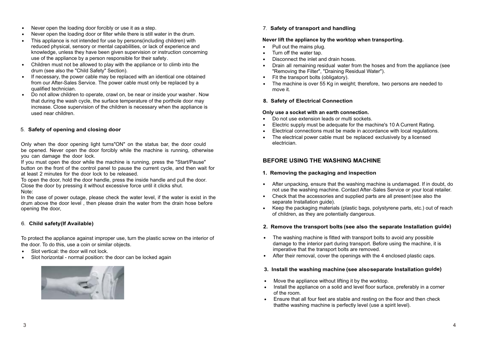- Never open the loading door forcibly or use it as a step. .
- . Never open the loading door or filter while there is still water in the drum. .
- This appliance is not intended for use by persons(including children) with reduced physical, sensory or mental capabilities, or lack of experience and knowledge, unless they have been given supervision or instruction concerning use of the appliance by a person responsible for their safety.
- Children must not be allowed to play with the appliance or to climb into the drum (see also the "Child Safety" Section). .
- If necessary, the power cable may be replaced with an identical one obtained from our After-Sales Service. The power cable must only be replaced by a qualified technician. .
- Do not allow children to operate, crawl on, be near or inside your washer. Now that during the wash cycle, the surface temperature of the porthole door may increase. Close supervision of the children is necessary when the appliance is used near children. .

#### 5. **Safety of opening and closing door**

Only when the door opening light turns"ON" on the status bar, the door could be opened. Never open the door forcibly while the machine is running, otherwise you can damage the door lock.

If you must open the door while the machine is running, press the "Start/Pause" button on the front of the control panel to pause the current cycle, and then wait for at least 2 minutes for the door lock to be released.

To open the door, hold the door handle, press the inside handle and pull the door. Close the door by pressing it without excessive force until it clicks shut. Note:

In the case of power outage, please check the water level, if the water is exist in the drum above the door level , then please drain the water from the drain hose before opening the door,

### 6. **Child safety(If Available)**

To protect the appliance against improper use, turn the plastic screw on the interior of the door. To do this, use a coin or similar objects. .

- Slot vertical: the door will not lock. .
- Slot horizontal normal position: the door can be locked again



7. **Safety of transport and handling**

#### **Never lift the appliance by the worktop when transporting.**

- Pull out the mains plug.<br>• Turn off the water tap. .
- 
- Turn off the water tap.<br>• Disconnect the inlet are • Disconnect the inlet and drain hoses.
- "Removing the Filter", "Draining R<br>• Fit the transport bolts (obligatory). • Disconnect the inlet and drain hoses.<br>• Drain all remaining residual water from the hoses and from the appliance (see "Removing the Filter", "Draining Residual Water").
- .
- The machine is over 55 Kg in weight; therefore, two persons are needed to move it.

#### **8. Safety of Electrical Connection**

- **Only use a socket with an earth connection.**<br>• Do not use extension leads or multi sockets • Do not use extension leads or multi sockets.
- . . Electric supply must be adequate for the machine's 10 A Current Rating.
- Electrical connections must be made in accordance with local regulations.
- Electrical connections must be made in accordance with local regulatio<br>• The electrical power cable must be replaced exclusively by a licensed electrician.

### **BEFORE USING THE WASHING MACHINE**

#### **1. Removing the packaging and inspection**

- . After unpacking, ensure that the washing machine is undamaged. If in doubt, do not use the washing machine. Contact After-Sales Service or your local retailer.
- not use the washing machine. Contact After-Sales Service or your local ret<br>Check that the accessories and supplied parts are all present (see also the separate Installation guide).
- . Keep the packaging materials (plastic bags, polystyrene parts, etc.) out of reach of children, as they are potentially dangerous.

#### **2. Remove the transport bolts (see also the separate Installation guide)**

- The washing machine is fitted with transport bolts to avoid any possible damage to the interior part during transport. Before using the machine, it is imperative that the transport bolts are removed.
- imperative that the transport bolts are removed.<br>• After their removal, cover the openings with the 4 enclosed plastic caps.

### **3. Install the washing machine (see alsoseparate Installation guide)**

- Move the appliance without lifting it by the worktop. .
- Move the appliance without lifting it by the worktop.<br>• Install the appliance on a solid and level floor surface, preferably in a corner of the room.
- of the room.<br>• Ensure that all four feet are stable and resting on the floor and then check thatthe washing machine is perfectly level (use a spirit level).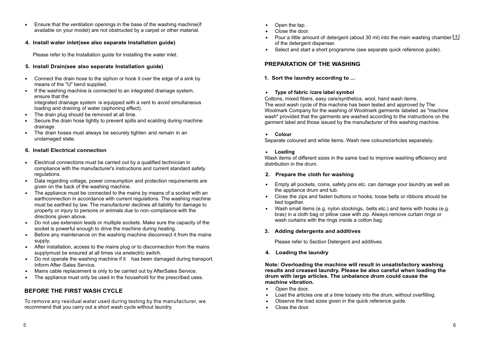- Ensure that the ventilation openings in the base of the washing machine(if . available on your model) are not obstructed by a carpet or other material.
- **4. Install water inlet(see also separate Installation guide)**

Please refer to the Installation guide for installing the water inlet.

#### **5. Install Drain(see also separate Installation guide)**

- Connect the drain hose to the siphon or hook it over the edge of a sink by . means of the "U" bend supplied.
- If the washing machine is connected to an integrated drainage system, ensure that the integrated drainage system is equipped with a vent to avoid simultaneous loading and draining of water (siphoning effect). .
- loading and draining of water (siphoning effect The drain plug should be removed at all time.
- Secure the drain hose tightly to prevent spills and scalding during machine drainage. .
- drainage.<br>• The drain hoses must always be securely tighten and remain in an undamaged state.

#### **6. Install Electrical connection**

- Electrical connections must be carried out by a qualified technician in compliance with the manufacturer's instructions and current standard safety regulations. .
- Data regarding voltage, power consumption and protection requirements are given on the back of the washing machine. .
- The appliance must be connected to the mains by means of a socket with an earthconnection in accordance with current regulations. The washing machine must be earthed by law. The manufacturer declines all liability for damage to property or injury to persons or animals due to non-compliance with the directions given above. .
- Do not use extension leads or multiple sockets. Make sure the capacity of the socket is powerful enough to drive the machine during heating. .
- Before any maintenance on the washing machine disconnect it from the mains supply. .
- After installation, access to the mains plug or to disconnection from the mains supplymust be ensured at all times via anelectric switch. .
- Do not operate the washing machine if it has been damaged during transport. Inform After-Sales Service. .
- Mains cable replacement is only to be carried out by AfterSales Service. . .
- The appliance must only be used in the household for the prescribed uses.

#### **BEFORE THE FIRST WASH CYCLE**

recommend that you carry out a short wash cycle without laundry. To remove any residual water used during testing by the manufacturer, we

- Open the tap. . .
- Close the door. .
- Pour a little amount of detergent (about 30 ml) into the main washing chamber  $\bigsqcup$ of the detergent dispenser.
- Select and start a short programme (see separate quick reference guide). .

#### **PREPARATION OF THE WASHING**

**1. Sort the laundry according to ...**

## **Type of fabric /care label symbol** .

Cottons, mixed fibers, easy care/synthetics, wool, hand wash items. The wool wash cycle of this machine has been tested and approved by The Woolmark Company for the washing of Woolmark garments labeled as "machine wash" provided that the garments are washed according to the instructions on the garment label and those issued by the manufacturer of this washing machine.

## **.** Colour

Separate coloured and white items. Wash new colouredarticles separately.

## **Loading** .

Wash items of different sizes in the same load to improve washing efficiency and distribution in the drum.

#### **2. Prepare the cloth for washing**

- Empty all pockets, coins, safety pins etc. can damage your laundry as well as the appliance drum and tub. .
- the appliance drum and tub.<br>
 Close the zips and fasten buttons or hooks; loose belts or ribbons should be tied together.
- Wash small items (e.g. nylon stockings, belts etc.) and items with hooks (e.g. bras) in a cloth bag or pillow case with zip. Always remove curtain rings or wash curtains with the rings inside a cotton bag. .

#### **3. Adding detergents and additives**

Please refer to Section Detergent and additives.

**4. Loading the laundry**

**Note: Overloading the machine will result in unsatisfactory washing results and creased laundry. Please be also careful when loading the drum with large articles. The unbalance drum could cause the machine vibration.**<br>• Open the door.

- Open the door. .
- Load the articles one at a time loosely into the drum, without overfilling. .
- Observe the load sizes given in the quick reference guide.
- Close the door. .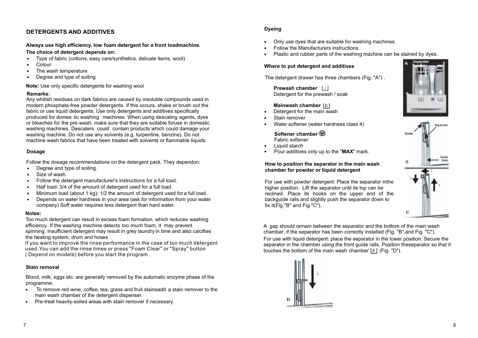#### **DETERGENTS AND ADDITIVES**

### **Always use high efficiency, low foam detergent for a front loadmachine.**

- **The choice of detergent depends on:**<br>• Type of fabric (cottons, easy care/s Type of fabric (cottons, easy care/synthetics, delicate items, wool) .
- Colour .
- The wash temperature
- Degree and type of soiling .

**Note:** Use only specific detergents for washing wool

#### **Remarks:**

Any whitish residues on dark fabrics are caused by insoluble compounds used in modern phosphate-free powder detergents. If this occurs, shake or brush out the fabric or use liquid detergents. Use only detergents and additives specifically produced for domes tic washing machines. When using descaling agents, dyes or bleaches for the pre-wash, make sure that they are suitable foruse in domestic washing machines. Descalers could contain products which could damage your washing machine. Do not use any solvents (e.g. turpentine, benzine). Do not machine wash fabrics that have been treated with solvents or flammable liquids.

#### **Dosage**

Follow the dosage recommendations on the detergent pack. They dependon:<br>• Degree and type of soiling.

- Degree and type of soiling. .
- Size of wash. .
- Follow the detergent manufacturer's instructions for a full load. .
- Half load: 3/4 of the amount of detergent used for a full load.
- Minimum load (about 1 kg): 1/2 the amount of detergent used for a full load. .
- Depends on water hardness in your area (ask for information from your water company) Soft water requires less detergent than hard water. .

#### **Notes:**

Too much detergent can result in excess foam formation, which reduces washing efficiency. If the washing machine detects too much foam, it may prevent spinning. Insufficient detergent may result in grey laundry in time and also calcifies the heating system, drum and hoses.

If you want to improve the rinse performance in the case of too much detergent used.You can add the rinse times or press "Foam Clear" or "Spray" button ( Depend on models) before you start the program.

#### **Stain removal**

Blood, milk, eggs etc. are generally removed by the automatic enzyme phase of the

- programme.<br>• To remo To remove red wine, coffee, tea, grass and fruit stainsadd a stain remover to the main wash chamber of the detergent dispenser. main wash chamber of the detergent dispenser.<br>• Pre-treat heavily-soiled areas with stain remover if necessary.
- 

#### **Dyeing**

- Only use dyes that are suitable for washing machines. .
- Follow the Manufacturers instructions. . .
- Plastic and rubber parts of the washing machine can be stained by dyes.

#### **Where to put detergent and additives**

The detergent drawer has three chambers (Fig. "A") .

**Prewash chamber**  Detergent for the prewash / soak

#### **Mainwash chamber**

- Detergent for the main wash .
- Stain remover .
- Water softener (water hardness class 4) .

### **Softener chamber**

- Fabric softener
- Liquid starch .
- Pour additives only up to the "**MAX**" mark. .

#### **How to position the separator in the main wash chamber for powder or liquid detergent**

For use with powder detergent: Place the separator inthe higher position. Lift the separator until its top can be reclined. Place its hooks on the upper end of the backguide rails and slightly push the separator down to fix it(Fig."B" and Fig."C").

A gap should remain between the separator and the bottom of the main wash chamber, if the separator has been correctly installed (Fig. "B",and Fig. "C"). For use with liquid detergent: place the separator in the lower position. Secure the separator in the chamber using the front guide rails. Position theseparator so that it touches the bottom of the main wash chamber  $|II|$  (Fig. "D").





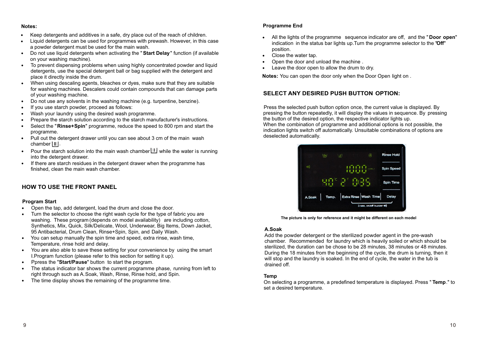#### **Notes:**

- Keep detergents and additives in a safe, dry place out of the reach of children. .<br>.
- Liquid detergents can be used for programmes with prewash. However, in this case a powder detergent must be used for the main wash. .
- Do not use liquid detergents when activating the "**Start Delay**" function (if available on your washing machine). .
- on your washing machine).<br>
 To prevent dispensing problems when using highly concentrated powder and liquid detergents, use the special detergent ball or bag supplied with the detergent and place it directly inside the drum.
- When using descaling agents, bleaches or dyes, make sure that they are suitable . for washing machines. Descalers could contain compounds that can damage parts of your washing machine.
- of your washing machine.<br>
 Do not use any solvents in the washing machine (e.g. turpentine, benzine).
- If you use starch powder, proceed as follows: . .
- Wash your laundry using the desired wash programme.
- Prepare the starch solution according to the starch manufacturer's instructions. .
- Select the "**Rinse+ Spin**" programme, reduce the speed to 800 rpm and start the programme. .
- programme.<br>• Pull out the detergent drawer until you can see about 3 cm of the main wash chamber  $||||.$
- chamber  $\left| \frac{11}{1} \right|$ .<br>• Pour the starch solution into the main wash chamber  $\left| \frac{11}{1} \right|$  while the water is running into the detergent drawer.
- If there are starch residues in the detergent drawer when the programme has finished, clean the main wash chamber. .

#### **HOW TO USE THE FRONT PANEL**

#### **Program Start**

- . Open the tap, add detergent, load the drum and close the door.
- Open the tap, add detergent, load the drum and close the door.<br>• Turn the selector to choose the right wash cycle for the type of fabric you are washing. These program (depends on model availability) are including cotton, Synthetics, Mix, Quick, Silk/Delicate, Wool, Underwear, Big Items, Down Jacket, 95 Antibacterial, Drum Clean, Rinse+Spin, Spin, and Daily Wash.
- 95 Antibacterial, Drum Clean, Rinse+Spin, Spin, and Daily Wash.<br>• You can setup manually the spin time and speed, extra rinse, wash time, Temperature, rinse hold and delay .
- Temperature, rinse hold and delay.<br>• You are also able to save these setting for your convenience by using the smart I.Program function (please refer to this section for setting it up).
- Ppress the "**Start/Pause**" button to start the program. .
- The status indicator bar shows the current programme phase, running from left to right through such as A.Soak, Wash, Rinse, Rinse hold, and Spin. .
- The time display shows the remaining of the programme time. .

#### **Programme End**

- All the lights of the programme sequence indicator are off, and the " **Door open**" . indication in the status bar lights up.Turn the programme selector to the "**Off**" position. .
- Close the water tap. .
- Open the door and unload the machine .
- Leave the door open to allow the drum to dry. .

**Notes:** You can open the door only when the Door Open light on .

#### **SELECT ANY DESIRED PUSH BUTTON OPTION:**

Press the selected push button option once, the current value is displayed. By pressing the button repeatedly, it will display the values in sequence. By pressing the button of the desired option, the respective indicator lights up. When the combination of programme and additional options is not possible, the indication lights switch off automatically. Unsuitable combinations of options are deselected automatically.



**The picture is only for reference and it might be different on each model**

#### **A.Soak**

Add the powder detergent or the sterilized powder agent in the pre-wash chamber. Recommended for laundry which is heavily soiled or which should be sterilized, the duration can be chose to be 28 minutes, 38 minutes or 48 minutes. During the 18 minutes from the beginning of the cycle, the drum is turning, then it will stop and the laundry is soaked. In the end of cycle, the water in the tub is drained off.

#### **Temp**

On selecting a programme, a predefined temperature is displayed. Press " **Temp**." to set a desired temperature.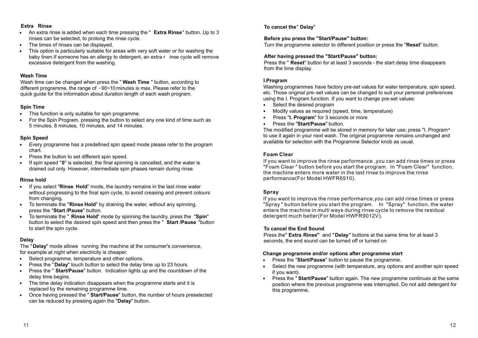#### **Extra Rinse**

- **Extra Rinse**<br>• An extra rinse is added when each time pressing the " **Extra Rinse**" button. Up to 3 rinses can be selected, to prolong the rinse cycle.
- The times of rinses can be displayed. .
- This option is particularly suitable for areas with very soft water or for washing the baby linen.If someone has an allergy to detergent, an extra r inse cycle will remove excessive detergent from the washing. .

#### **Wash Time**

Wash time can be changed when press the " **Wash Time** " button, according to different programme, the range of -90~10 minutes is max. Please refer to the quick guide for the information about duration length of each wash program.

- **Spin Time** . This function is only suitable for spin programme.
- This function is only suitable for spin programme.<br>• For the Spin Program, pressing the button to select any one kind of time such as 5 minutes, 8 minutes, 10 minutes, and 14 minutes.

#### **Spin Speed**

- Spin Speed<br>• Every programme has a predefined spin speed mode please refer to the program chart.
- Press the button to set different spin speed. .
- If spin speed "**0**" is selected, the final spinning is cancelled, and the water is drained out only. However, intermediate spin phases remain during rinse. .

#### **Rinse hold**

- **Rinse hold**<br>• If you select "Rinse Hold" mode, the laundry remains in the last rinse water without progressing to the final spin cycle, to avoid creasing and prevent colours from changing.
- from changing.<br>
 To terminate the "**Rinse Hold**" by draining the water, without any spinning, press the "**Start /Pause**" button.
- To terminate the " **Rinse Hold**" mode by spinning the laundry, press the "**Spin**" button to select the desired spin speed and then press the " **Start /Pause** "button to start the spin cycle. .

#### **Delay**

The "**Delay**" mode allows running the machine at the consumer's convenience,

- for example at night when electricity is cheaper.<br>
 Select programme, temperature and other c • Select programme, temperature and other options.<br>• Press the "Delay" touch button to select the delay t
- Press the "**Delay**" touch button to select the delay time up to 23 hours. .
- Press the " **Start/Pause**" button. Indication lights up and the countdown of the delay time begins.
- delay time begins.<br>• The time delay indication disappears when the programme starts and it is replaced by the remaining programme time.
- replaced by the remaining programme time.<br>
 Once having pressed the " **Start/Pause**" button, the number of hours preselected can be reduced by pressing again the "**Delay**" button.

#### **To cancel the**" **Delay**"

#### **Before you press the "Start/Pause" button:**

Turn the programme selector to different position or press the "**Reset**" button.

#### **After having pressed the "Start/Pause" button:**

Press the " **Reset**" button for at least 3 seconds - the start delay time disappears from the time display.

#### **I.Program**

Washing programmes have factory pre-set values for water temperature, spin speed, etc. Those original pre-set values can be changed to suit your personal preferences using the I. Program function. If you want to change pre-set values: .

- Select the desired program
- Select the desired program<br>• Modify values as required (speed, time, temperature)
- . Press "**I. Program**" for 3 seconds or more
- Press the "**Start/Pause**" button. .

The modified programme will be stored in memory for later use; press "I. Program" to use it again in your next wash. The original programme remains unchanged and available for selection with the Programme Selector knob as usual.

#### **Foam Clear**

If you want to improve the rinse performance ,you can add rinse times or press "Foam Clear " button before you start the program. In "Foam Clear" function, the machine enters more water in the last rinse to improve the rinse performance(For Model HWFR6510).

#### **Spray**

If you want to improve the rinse performance,you can add rinse times or press "Spray " button before you start the program. In "Spray" function, the water enters the machine in multi ways during rinse cycle to remove the residual detergent much better(For Model HWFR9012V).

#### **To cancel the End Sound**

Press the" **Extra Rinse"** and " **Delay**" buttons at the same time for at least 3 seconds, the end sound can be turned off or turned on

## **Change programme and/or options after programme start**<br>
• Press the "Start/Pause" button to pause the programme.

- 
- Press the "**Start/Pause**" button to pause the programme.<br>• Select the new programme (with temperature, any option Select the new programme (with temperature, any options and another spin speed if you want).
- Press the " **Start/Pause**" button again. The new programme continues at the same position where the previous programme was interrupted. Do not add detergent for this programme. .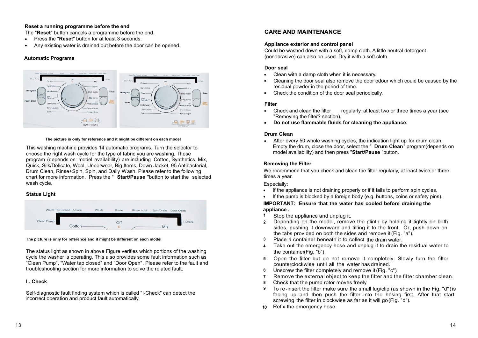#### **Reset a running programme before the end**

The "Reset" button cancels a programme before the end.<br>• Press the "Reset" button for at least 3 seconds.

- Press the "**Reset**" button for at least 3 seconds.
- **Phoperation Trum in Angle 1** Angleem **Francis Creem is any existing water is drained** out before the door can be opened.

#### **Automatic Programs**



#### **The picture is only for reference and it might be different on each model**

This washing machine provides 14 automatic programs. Turn the selector to choose the right wash cycle for the type of fabric you are washing. These program (depends on model availability) are including Cotton, Synthetics, Mix, Quick, Silk/Delicate, Wool, Underwear, Big Items, Down Jacket, 95 Antibacterial, Drum Clean, Rinse+Spin, Spin, and Daily Wash. Please refer to the following chart for more information. Press the " **Start/Pause** "button to start the selected wash cycle.

#### **Status Light**



#### **The picture is only for reference and it might be different on each model**

The status light as shown in above Figure verifies which portions of the washing cycle the washer is operating. This also provides some fault information such as "Clean Pump", "Water tap closed" and "Door Open". Please refer to the fault and troubleshooting section for more information to solve the related fault.

#### **I . Check**

Self-diagnostic fault finding system which is called "I-Check" can detect the incorrect operation and product fault automatically.

#### **CARE AND MAINTENANCE**

#### **Appliance exterior and control panel**

Could be washed down with a soft, damp cloth. A little neutral detergent (nonabrasive) can also be used. Dry it with a soft cloth.

## **Door seal** .

- Clean with a damp cloth when it is necessary. .
- Cleaning the door seal also remove the door odour which could be caused by the residual powder in the period of time.
- Check the condition of the door seal periodically. .

- **Filter** . Check and clean the filter regularly, at least two or three times a year (see "Removing the filter? section). **Property Fundom** Terming the filter? section.<br> **Do not use flammable fluids for cleaning the appliance.**
- 

#### **Drum Clean**

**Drum Clean**<br>• After every 50 whole washing cycles, the indication light up for drum clean. Empty the drum, close the door, select the " **Drum Clean**" program (depends on model availability) and then press "**Start/Pause** "button.

#### **Removing the Filter**

times a year. We recommend that you check and clean the filter regularly, at least twice or three

- Especially:<br>• If the a If the appliance is not draining properly or if it fails to perform spin cycles.
- If the appliance is not draining properly or if it fails to perform spin cycles.<br>• If the pump is blocked by a foreign body (e.g. buttons, coins or safety pins).

#### **IMPORTANT: Ensure that the water has cooled before draining the appliance .**

- Stop the appliance and unplug it. 1
- Depending on the model, remove the plinth by holding it tightly on both 2 sides, pushing it downward and tilting it to the front. Or, push down on the tabs provided on both the sides and remove it(Fig. "a").
- Place a container beneath it to collect the drain water. 3
- Take out the emergency hose and unplug it to drain the residual water to the container(Fig. "b") . 4
- Open the filter but do not remove it completely. Slowly turn the filter 5 counterclockwise until all the water has drained.
- Unscrew the filter completely and remove it(Fig. "c"). 6
- 7 Remove the external object to keep the filter and the filter chamber clean.
- Check that the pump rotor moves freely 8
- To re-insert the filter make sure the small lug/clip (as shown in the Fig. "d")is facing up and then push the filter into the hosing first. After that start screwing the filter in clockwise as far as it will go(Fig. "d"). 9
- Refix the emergency hose. 10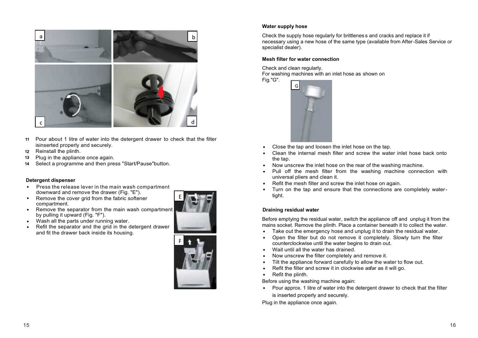

- Pour about 1 litre of water into the detergent drawer to check that the filter 11 isinserted properly and securely.
- 12 Reinstall the plinth.
- Plug in the appliance once again. 13
- Select a programme and then press "Start/Pause"button. 14

- **Detergent dispenser** . downward and remove the drawer (Fig. "E"). Press the release lever in the main wash compartment
- Remove the cover grid from the fabric softener compartment. .
- Remove the separator from the main wash compartment by pulling it upward (Fig. "F"). . .
- Wash all the parts under running water.
- Refit the separator and the grid in the detergent drawer and fit the drawer back inside its housing.  $\bullet$





#### **Water supply hose**

Check the supply hose regularly for brittlenes s and cracks and replace it if necessary using a new hose of the same type (available from After-Sales Service or specialist dealer).

#### **Mesh filter for water connection**

Check and clean regularly. For washing machines with an inlet hose as shown on Fig."G".



- Close the tap and loosen the inlet hose on the tap. .
- Clean the internal mesh filter and screw the water inlet hose back onto the tap. the tap.<br>• Now unscrew the inlet hose on the rear of the washing machine. .
- 
- Pull off the mesh filter from the washing machine connection with universal pliers and clean it. universal pliers and clean it.<br>• Refit the mesh filter and screw the inlet hose on again. .
- 
- Turn on the tap and ensure that the connections are completely watertight. .

#### **Draining residual water**

Before emptying the residual water, switch the appliance off and unplug it from the mains socket. Remove the plinth. Place a container beneath it to collect the water.<br>• Take out the emergency hose and unplug it to drain the residual water.

- Take out the emergency hose and unplug it to drain the residual water .  $\ddot{\bullet}$
- Open the filter but do not remove it completely. Slowly turn the filter counterclockwise until the water begins to drain out. counterclockwise until the water beg<br>• Wait until all the water has drained.
- 
- Now unscrew the filter completely and remove it. . .
- Tilt the appliance forward carefully to allow the water to flow out. .
- Refit the filter and screw it in clockwise asfar as it will go. .
- Refit the plinth.

Before using the washing machine again:<br>• Pour approx. 1 litre of water into the Pour approx. 1 litre of water into the detergent drawer to check that the filter is inserted properly and securely.

Plug in the appliance once again.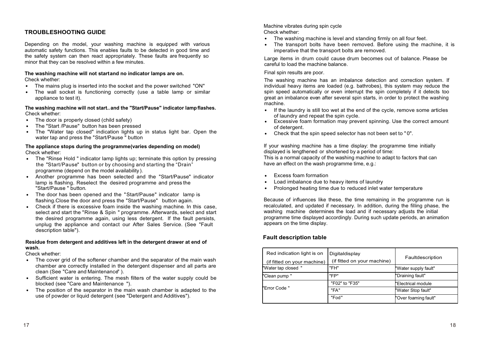#### **TROUBLESHOOTING GUIDE**

Depending on the model, your washing machine is equipped with various automatic safety functions. This enables faults to be detected in good time and the safety system can then react appropriately. These faults are frequently so minor that they can be resolved within a few minutes.

#### **The washing machine will not startand no indicator lamps are on.**

Check whether:

- Check whether:<br>• The mains plug is inserted into the socket and the power switched "ON"
- The wall socket is functioning correctly (use a table lamp or similar appliance to test it). .

**The washing machine will not start..and the "Start/Pause" indicator lampflashes.**  Check whether: .

- 
- The door is properly closed (child safety)<br>• The "Start /Pause" button has been pres
- The "Start /Pause" button has been pressed<br>• The "Water tap closed" indication lights up • The "Water tap closed" indication lights up in status light bar. Open the water tap and press the "Start/Pause " button

#### **The appliance stops during the programme(varies depending on model)** Check whether:

- Check whether:<br>• The "Rinse Hold " indicator lamp lights up; terminate this option by pressing programme (depend on the model availability ). the "Start/Pause" button or by choosing and starting the "Drain"
- programme (depend on the model availability).<br>
 Another programme has been selected and the "Start/Pause" indicator lamp is flashing. Reselect the desired programme and press the "Start/Pause " button.
- "Start/Pause " button.<br>• The door has been opened and the "Start/Pause" indicator lamp is flashing.Close the door and press the "Start/Pause" button again.
- flashing Close the door and press the "Start/Pause" button again.<br>• Check if there is excessive foam inside the washing machine. In this case, select and start the "Rinse & Spin " programme. Afterwards, select and start the desired programme again, using less detergent. If the fault persists, unplug the appliance and contact our After Sales Service. (See "Fault description table").

#### **Residue from detergent and additives left in the detergent drawer at end of wash.**

- Check whether:<br>● The cover • The cover grid of the softener chamber and the separator of the main wash chamber are correctly installed in the detergent dispenser and all parts are clean (See "Care and Maintenance" ). clean (See "Care and Maintenance" ).<br>• Sufficient water is entering. The mesh filters of the water supply could be
- blocked (see "Care and Maintenance ").
- blocked (see "Care and Maintenance ").<br>• The position of the separator in the main wash chamber is adapted to the use of powder or liquid detergent (see "Detergent and Additives").

Machine vibrates during spin cycle Check whether:

- Check whether:<br>• The washing machine is level and standing firmly on all four feet.
- The transport bolts have been removed. Before using the machine, it is imperative that the transport bolts are removed. .

Large items in drum could cause drum becomes out of balance. Please be careful to load the machine balance.

#### Final spin results are poor.

The washing machine has an imbalance detection and correction system. If individual heavy items are loaded (e.g. bathrobes), this system may reduce the spin speed automatically or even interrupt the spin completely if it detects too great an imbalance even after several spin starts, in order to protect the washing machine.

- machine.<br>• If the laundry is still too wet at the end of the cycle, remove some articles of laundry and repeat the spin cycle.
- Excessive foam formation may prevent spinning. Use the correct amount of detergent. of detergent.<br>
• Check that the spin speed selector has not been set to "0". .
- 

If your washing machine has a time display: the programme time initially displayed is lengthened or shortened by a period of time: This is a normal capacity of the washing machine to adapt to factors that can have an effect on the wash programme time, e.g.:

- Excess foam formation . .
- Load imbalance due to heavy items of laundry .
- Prolonged heating time due to reduced inlet water temperature

Because of influences like these, the time remaining in the programme run is recalculated, and updated if necessary. In addition, during the filling phase, the washing machine determines the load and if necessary adjusts the initial programme time displayed accordingly. During such update periods, an animation appears on the time display.

#### **Fault description table**

| Red indication light is on<br>(if fitted on your machine) | Digitaldisplay<br>(if fitted on your machine) | Faultdescription     |
|-----------------------------------------------------------|-----------------------------------------------|----------------------|
| "Water tap closed "                                       | "FH"                                          | "Water supply fault" |
| "Clean pump"                                              | "FP"                                          | "Draining fault"     |
|                                                           | "F02" to "F35"                                | "Electrical module   |
| "Error Code"                                              | "FA"                                          | "Water Stop fault"   |
|                                                           | "Fod"                                         | "Over foaming fault" |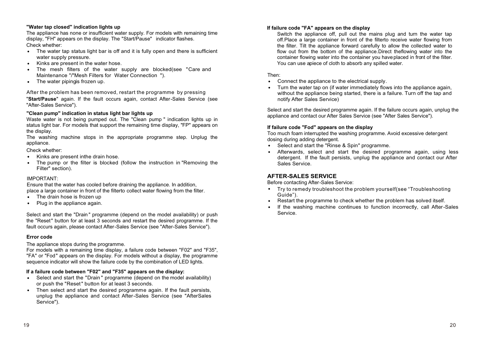#### **"Water tap closed" indication lights up**

The appliance has none or insufficient water supply. For models with remaining time display, "FH" appears on the display. The "Start/Pause" indicator flashes. Check whether:

- Check whether:<br>• The water tap status light bar is off and it is fully open and there is sufficient water supply pressure.
- Kinks are present in the water hose. .
- Kinks are present in the water hose.<br>• The mesh filters of the water supply are blocked(see "Care and Maintenance "/"Mesh Filters for Water Connection ").
- Maintenance "/"Mesh Filters<br>The water pipingis frozen up.

After the problem has been removed, restart the programme by pressing

"**Start/Pause**" again. If the fault occurs again, contact After-Sales Service (see "After-Sales Service").

#### **"Clean pump" indication in status light bar lights up**

Waste water is not being pumped out. The "Clean pump " indication lights up in status light bar. For models that support the remaining time display, "FP" appears on the display.

The washing machine stops in the appropriate programme step. Unplug the appliance.

## Check whether:<br>● Kinks are p

- Kinks are present inthe drain hose .
- Kinks are present inthe drain hose.<br>• The pump or the filter is blocked (follow the instruction in "Removing the Filter" section).

#### IMPORTANT:

Ensure that the water has cooled before draining the appliance. In addition, place a large container in front of the filterto collect water flowing from the filter.<br>• The drain hose is frozen up

- The drain hose is frozen up
- The drain hose is frozen up<br>• Plug in the appliance again.

Select and start the "Drain " programme (depend on the model availability) or push the "Reset" button for at least 3 seconds and restart the desired programme. If the fault occurs again, please contact After-Sales Service (see "After-Sales Service").

#### **Error code**

The appliance stops during the programme.

For models with a remaining time display, a failure code between "F02" and "F35", "FA" or "Fod" appears on the display. For models without a display, the programme sequence indicator will show the failure code by the combination of LED lights.

#### **If a failure code between "F02" and "F35" appears on the display:**

- If a failure code between "F02" and "F35" appears on the display:<br>• Select and start the "Drain" programme (depend on the model availability) or push the "Reset" button for at least 3 seconds.
- or push the "Reset" button for at least 3 seconds.<br>• Then select and start the desired programme again. If the fault persists, unplug the appliance and contact After-Sales Service (see "AfterSales Service").

#### **If failure code "FA" appears on the display**

Switch the appliance off, pull out the mains plug and turn the water tap off.Place a large container in front of the filterto receive water flowing from the filter. Tilt the appliance forward carefully to allow the collected water to flow out from the bottom of the appliance.Direct theflowing water into the container flowing water into the container you haveplaced in front of the filter. You can use apiece of cloth to absorb any spilled water.

- Then: . Connect the appliance to the electrical supply.
- Connect the appliance to the electrical supply.<br>• Turn the water tap on (if water immediately flows into the appliance again, without the appliance being started, there is a failure. Turn off the tap and notify After Sales Service)

Select and start the desired programme again. If the failure occurs again, unplug the appliance and contact our After Sales Service (see "After Sales Service").

#### **If failure code "Fod" appears on the display**

Too much foam interrupted the washing programme. Avoid excessive detergent dosing during adding detergent. .

- 
- Select and start the "Rinse & Spin" programme. . Afterwards, select and start the desired programme again, using less detergent. If the fault persists, unplug the appliance and contact our After Sales Service.

#### **AFTER-SALES SERVICE**

- Before contacting After-Sales Service: . . Try to remedy troubleshoot the problem yourself(see "Troubleshooting Guide").
- 
- Restart the programme to check whether the problem has solved itself.<br>• If the washing machine continues to function incorrectly, call After-If the washing machine continues to function incorrectly, call After-Sales Service.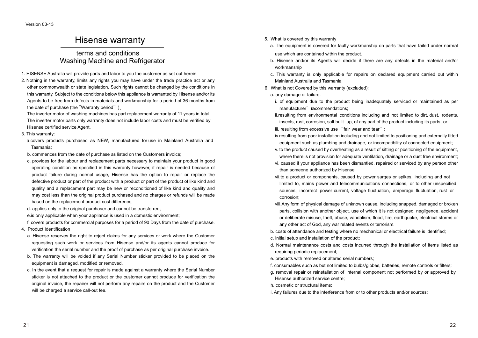### Hisense warranty

### terms and conditions Washing Machine and Refrigerator

- 1. HISENSE Australia will provide parts and labor to you the customer as set out herein.
- 2. Nothing in the warranty, limits any rights you may have under the trade practice act or any other commonwealth or state legislation. Such rights cannot be changed by the conditions in this warranty. Subject to the conditions below this appliance is warranted by Hisense and/or its Agents to be free from defects in materials and workmanship for a period of 36 months from the date of purchase (the "Warranty period").

The inverter motor of washing machines has part replacement warranty of 11 years in total. The inverter motor parts only warranty does not include labor costs and must be verified by Hisense certified service Agent.

- 3. This warranty:
	- a.covers products purchased as NEW, manufactured for use in Mainland Australia and Tasmania;
	- b. commences from the date of purchase as listed on the Customers invoice;
	- c. provides for the labour and replacement parts necessary to maintain your product in good operating condition as specified in this warranty however, if repair is needed because of product failure during normal usage, Hisense has the option to repair or replace the defective product or part of the product with a product or part of the product of like kind and quality and a replacement part may be new or reconditioned of like kind and quality and may cost less than the original product purchased and no charges or refunds will be made based on the replacement product cost difference;
	- d. applies only to the original purchaser and cannot be transferred;
	- e.is only applicable when your appliance is used in a domestic environment;
	- f. covers products for commercial purposes for a period of 90 Days from the date of purchase.
- 4. Product Identification
	- a. Hisense reserves the right to reject claims for any services or work where the Customer requesting such work or services from Hisense and/or its agents cannot produce for verification the serial number and the proof of purchase as per original purchase invoice.
	- b. The warranty will be voided if any Serial Number sticker provided to be placed on the equipment is damaged, modified or removed.
	- c. In the event that a request for repair is made against a warranty where the Serial Number sticker is not attached to the product or the customer cannot produce for verification the original invoice, the repairer will not perform any repairs on the product and the Customer will be charged a service call-out fee.
- 5. What is covered by this warranty
	- a. The equipment is covered for faulty workmanship on parts that have failed under normal use which are contained within the product.
	- b. Hisense and/or its Agents will decide if there are any defects in the material and/or workmanship
	- c. This warranty is only applicable for repairs on declared equipment carried out within Mainland Australia and Tasmania
- 6. What is not Covered by this warranty (excluded):
	- a. any damage or failure:
	- i. of equipment due to the product being inadequately serviced or maintained as per manufacturer' secommendations;
	- ii.resulting from environmental conditions including and not limited to dirt, dust, rodents, insects, rust, corrosion, salt built- up, of any part of the product including its parts; or iii. resulting from excessive use "fair wear and tear";
	- iv.resulting from poor installation including and not limited to positioning and externally fitted equipment such as plumbing and drainage, or incompatibility of connected equipment;
	- v. to the product caused by overheating as a result of sitting or positioning of the equipment, where there is not provision for adequate ventilation, drainage or a dust free environment;
	- vi. caused if your appliance has been dismantled, repaired or serviced by any person other than someone authorized by Hisense;
	- vii.to a product or components, caused by power surges or spikes, including and not limited to, mains power and telecommunications connections, or to other unspecified sources, incorrect power current, voltage fluctuation, amperage fluctuation, rust or corrosion;
	- viii.Any form of physical damage of unknown cause, including snapped, damaged or broken parts, collision with another object, use of which it is not designed, negligence, accident or deliberate misuse, theft, abuse, vandalism, flood, fire, earthquake, electrical storms or any other act of God, any war related events or terrorism.

b. costs of attendance and testing where no mechanical or electrical failure is identified;

- c. initial setup and installation of the product;
- d. Normal maintenance costs and costs incurred through the installation of items listed as requiring periodic replacement;
- e. products with removed or altered serial numbers;
- f. consumables such as but not limited to bulbs/globes, batteries, remote controls or filters;
- g. removal repair or reinstallation of internal component not performed by or approved by Hisense authorized service centre;
- h. cosmetic or structural items;
- i. Any failures due to the interference from or to other products and/or sources;